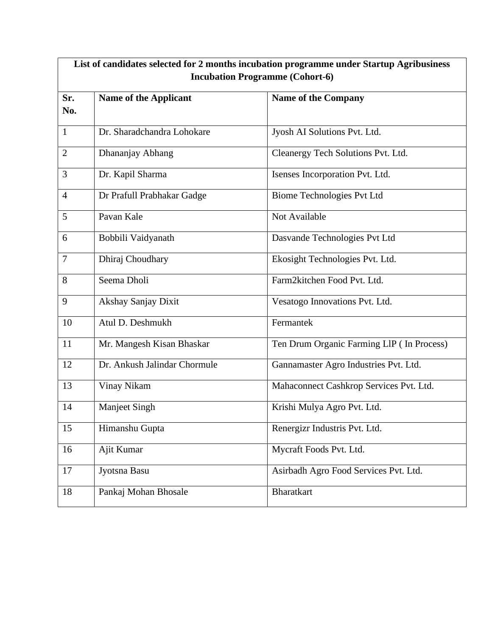| List of candidates selected for 2 months incubation programme under Startup Agribusiness |                              |                                           |  |
|------------------------------------------------------------------------------------------|------------------------------|-------------------------------------------|--|
| <b>Incubation Programme (Cohort-6)</b>                                                   |                              |                                           |  |
| Sr.<br>No.                                                                               | <b>Name of the Applicant</b> | <b>Name of the Company</b>                |  |
| $\mathbf{1}$                                                                             | Dr. Sharadchandra Lohokare   | Jyosh AI Solutions Pvt. Ltd.              |  |
| $\overline{2}$                                                                           | Dhananjay Abhang             | Cleanergy Tech Solutions Pvt. Ltd.        |  |
| 3                                                                                        | Dr. Kapil Sharma             | Isenses Incorporation Pvt. Ltd.           |  |
| $\overline{4}$                                                                           | Dr Prafull Prabhakar Gadge   | <b>Biome Technologies Pvt Ltd</b>         |  |
| 5                                                                                        | Pavan Kale                   | Not Available                             |  |
| 6                                                                                        | Bobbili Vaidyanath           | Dasvande Technologies Pvt Ltd             |  |
| $\overline{7}$                                                                           | Dhiraj Choudhary             | Ekosight Technologies Pvt. Ltd.           |  |
| 8                                                                                        | Seema Dholi                  | Farm2kitchen Food Pvt. Ltd.               |  |
| 9                                                                                        | Akshay Sanjay Dixit          | Vesatogo Innovations Pvt. Ltd.            |  |
| 10                                                                                       | Atul D. Deshmukh             | Fermantek                                 |  |
| 11                                                                                       | Mr. Mangesh Kisan Bhaskar    | Ten Drum Organic Farming LIP (In Process) |  |
| 12                                                                                       | Dr. Ankush Jalindar Chormule | Gannamaster Agro Industries Pvt. Ltd.     |  |
| 13                                                                                       | Vinay Nikam                  | Mahaconnect Cashkrop Services Pvt. Ltd.   |  |
| 14                                                                                       | <b>Manjeet Singh</b>         | Krishi Mulya Agro Pvt. Ltd.               |  |
| 15                                                                                       | Himanshu Gupta               | Renergizr Industris Pvt. Ltd.             |  |
| 16                                                                                       | Ajit Kumar                   | Mycraft Foods Pvt. Ltd.                   |  |
| 17                                                                                       | Jyotsna Basu                 | Asirbadh Agro Food Services Pvt. Ltd.     |  |
| 18                                                                                       | Pankaj Mohan Bhosale         | <b>Bharatkart</b>                         |  |